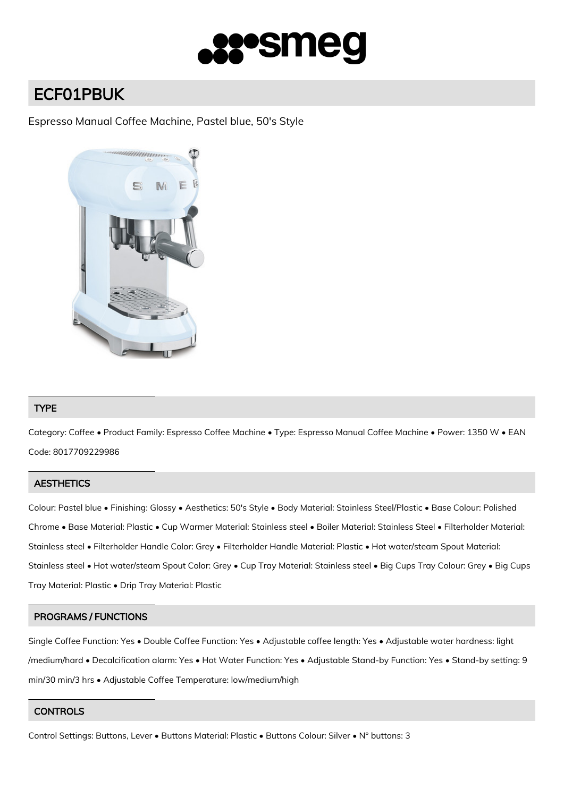

# ECF01PBUK

## Espresso Manual Coffee Machine, Pastel blue, 50's Style



### TYPE

Category: Coffee • Product Family: Espresso Coffee Machine • Type: Espresso Manual Coffee Machine • Power: 1350 W • EAN Code: 8017709229986

### **AESTHETICS**

Colour: Pastel blue • Finishing: Glossy • Aesthetics: 50's Style • Body Material: Stainless Steel/Plastic • Base Colour: Polished Chrome • Base Material: Plastic • Cup Warmer Material: Stainless steel • Boiler Material: Stainless Steel • Filterholder Material: Stainless steel • Filterholder Handle Color: Grey • Filterholder Handle Material: Plastic • Hot water/steam Spout Material: Stainless steel • Hot water/steam Spout Color: Grey • Cup Tray Material: Stainless steel • Big Cups Tray Colour: Grey • Big Cups Tray Material: Plastic • Drip Tray Material: Plastic

### PROGRAMS / FUNCTIONS

Single Coffee Function: Yes • Double Coffee Function: Yes • Adjustable coffee length: Yes • Adjustable water hardness: light /medium/hard • Decalcification alarm: Yes • Hot Water Function: Yes • Adjustable Stand-by Function: Yes • Stand-by setting: 9 min/30 min/3 hrs • Adjustable Coffee Temperature: low/medium/high

### **CONTROLS**

Control Settings: Buttons, Lever • Buttons Material: Plastic • Buttons Colour: Silver • N° buttons: 3